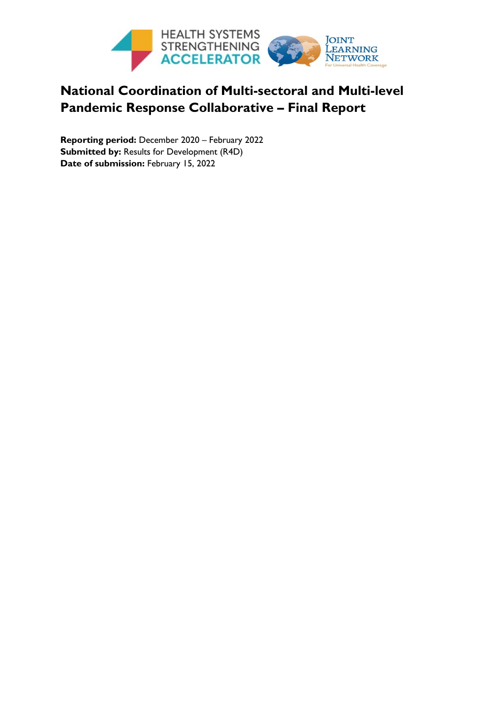

## **National Coordination of Multi-sectoral and Multi-level Pandemic Response Collaborative – Final Report**

<span id="page-0-0"></span>**Reporting period:** December 2020 – February 2022 **Submitted by: Results for Development (R4D)** Date of submission: February 15, 2022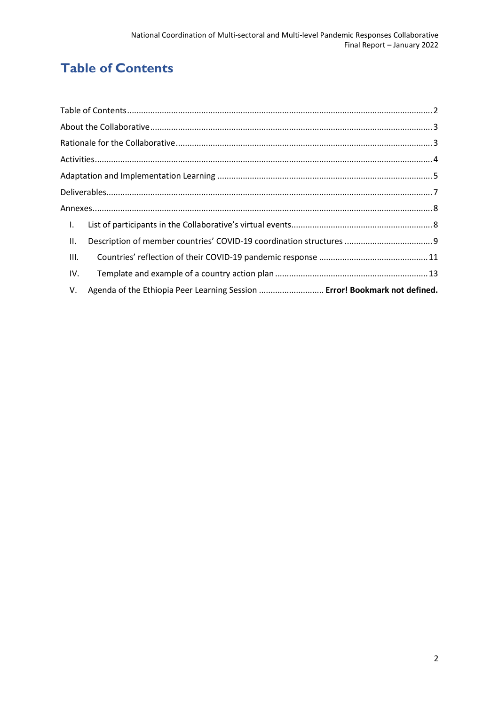## **Table of Contents**

| $\blacksquare$ |                                                                            |  |
|----------------|----------------------------------------------------------------------------|--|
| Ш.             |                                                                            |  |
| III.           |                                                                            |  |
| IV.            |                                                                            |  |
| V.             | Agenda of the Ethiopia Peer Learning Session  Error! Bookmark not defined. |  |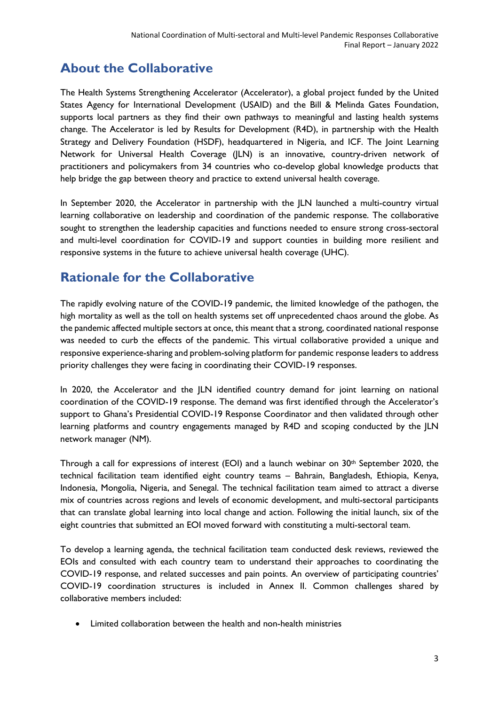## <span id="page-2-0"></span>**About the Collaborative**

The Health Systems Strengthening Accelerator (Accelerator), a global project funded by the United States Agency for International Development (USAID) and the Bill & Melinda Gates Foundation, supports local partners as they find their own pathways to meaningful and lasting health systems change. The Accelerator is led by Results for Development (R4D), in partnership with the Health Strategy and Delivery Foundation (HSDF), headquartered in Nigeria, and ICF. The Joint Learning Network for Universal Health Coverage (JLN) is an innovative, country-driven network of practitioners and policymakers from 34 countries who co-develop global knowledge products that help bridge the gap between theory and practice to extend universal health coverage.

In September 2020, the Accelerator in partnership with the JLN launched a multi-country virtual learning collaborative on leadership and coordination of the pandemic response. The collaborative sought to strengthen the leadership capacities and functions needed to ensure strong cross-sectoral and multi-level coordination for COVID-19 and support counties in building more resilient and responsive systems in the future to achieve universal health coverage (UHC).

## <span id="page-2-1"></span>**Rationale for the Collaborative**

The rapidly evolving nature of the COVID-19 pandemic, the limited knowledge of the pathogen, the high mortality as well as the toll on health systems set off unprecedented chaos around the globe. As the pandemic affected multiple sectors at once, this meant that a strong, coordinated national response was needed to curb the effects of the pandemic. This virtual collaborative provided a unique and responsive experience-sharing and problem-solving platform for pandemic response leaders to address priority challenges they were facing in coordinating their COVID-19 responses.

In 2020, the Accelerator and the JLN identified country demand for joint learning on national coordination of the COVID-19 response. The demand was first identified through the Accelerator's support to Ghana's Presidential COVID-19 Response Coordinator and then validated through other learning platforms and country engagements managed by R4D and scoping conducted by the JLN network manager (NM).

Through a call for expressions of interest (EOI) and a launch webinar on  $30<sup>th</sup>$  September 2020, the technical facilitation team identified eight country teams – Bahrain, Bangladesh, Ethiopia, Kenya, Indonesia, Mongolia, Nigeria, and Senegal. The technical facilitation team aimed to attract a diverse mix of countries across regions and levels of economic development, and multi-sectoral participants that can translate global learning into local change and action. Following the initial launch, six of the eight countries that submitted an EOI moved forward with constituting a multi-sectoral team.

To develop a learning agenda, the technical facilitation team conducted desk reviews, reviewed the EOIs and consulted with each country team to understand their approaches to coordinating the COVID-19 response, and related successes and pain points. An overview of participating countries' COVID-19 coordination structures is included in Annex II. Common challenges shared by collaborative members included:

• Limited collaboration between the health and non-health ministries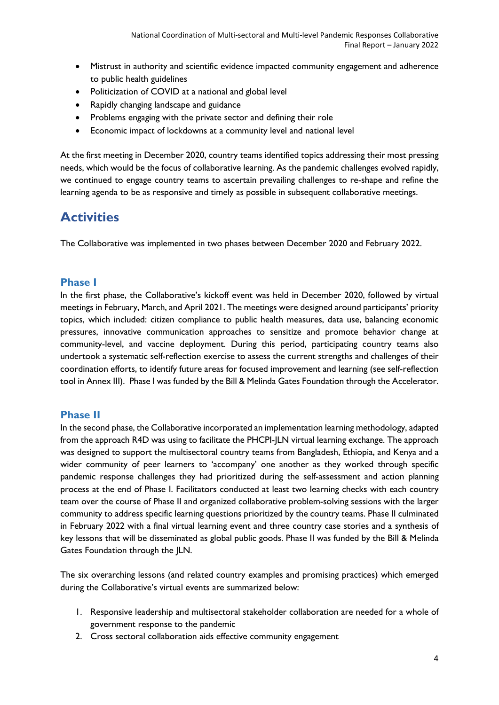- Mistrust in authority and scientific evidence impacted community engagement and adherence to public health guidelines
- Politicization of COVID at a national and global level
- Rapidly changing landscape and guidance
- Problems engaging with the private sector and defining their role
- Economic impact of lockdowns at a community level and national level

At the first meeting in December 2020, country teams identified topics addressing their most pressing needs, which would be the focus of collaborative learning. As the pandemic challenges evolved rapidly, we continued to engage country teams to ascertain prevailing challenges to re-shape and refine the learning agenda to be as responsive and timely as possible in subsequent collaborative meetings.

## <span id="page-3-0"></span>**Activities**

The Collaborative was implemented in two phases between December 2020 and February 2022.

#### **Phase I**

In the first phase, the Collaborative's kickoff event was held in December 2020, followed by virtual meetings in February, March, and April 2021. The meetings were designed around participants' priority topics, which included: citizen compliance to public health measures, data use, balancing economic pressures, innovative communication approaches to sensitize and promote behavior change at community-level, and vaccine deployment. During this period, participating country teams also undertook a systematic self-reflection exercise to assess the current strengths and challenges of their coordination efforts, to identify future areas for focused improvement and learning (see self-reflection tool in Annex III). Phase I was funded by the Bill & Melinda Gates Foundation through the Accelerator.

#### **Phase II**

In the second phase, the Collaborative incorporated an implementation learning methodology, adapted from the approach R4D was using to facilitate the PHCPI-JLN virtual learning exchange. The approach was designed to support the multisectoral country teams from Bangladesh, Ethiopia, and Kenya and a wider community of peer learners to 'accompany' one another as they worked through specific pandemic response challenges they had prioritized during the self-assessment and action planning process at the end of Phase I. Facilitators conducted at least two learning checks with each country team over the course of Phase II and organized collaborative problem-solving sessions with the larger community to address specific learning questions prioritized by the country teams. Phase II culminated in February 2022 with a final virtual learning event and three country case stories and a synthesis of key lessons that will be disseminated as global public goods. Phase II was funded by the Bill & Melinda Gates Foundation through the JLN.

The six overarching lessons (and related country examples and promising practices) which emerged during the Collaborative's virtual events are summarized below:

- 1. Responsive leadership and multisectoral stakeholder collaboration are needed for a whole of government response to the pandemic
- 2. Cross sectoral collaboration aids effective community engagement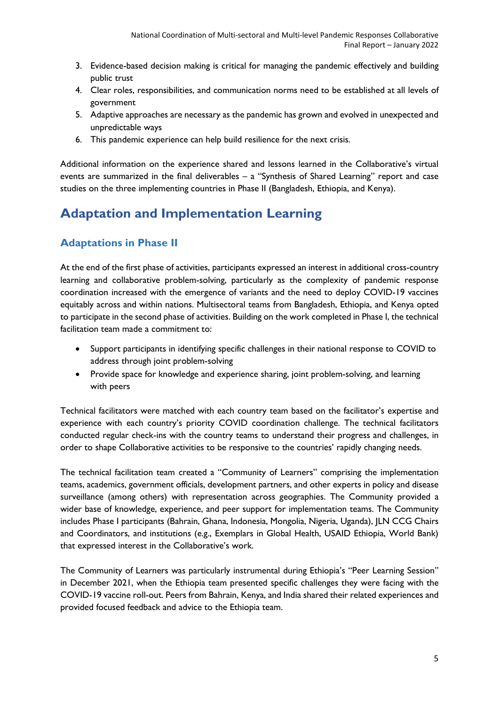- 3. Evidence-based decision making is critical for managing the pandemic effectively and building public trust
- 4. Clear roles, responsibilities, and communication norms need to be established at all levels of government
- 5. Adaptive approaches are necessary as the pandemic has grown and evolved in unexpected and unpredictable ways
- 6. This pandemic experience can help build resilience for the next crisis.

Additional information on the experience shared and lessons learned in the Collaborative's virtual events are summarized in the final deliverables – a "Synthesis of Shared Learning" report and case studies on the three implementing countries in Phase II (Bangladesh, Ethiopia, and Kenya).

## <span id="page-4-0"></span>**Adaptation and Implementation Learning**

#### **Adaptations in Phase II**

At the end of the first phase of activities, participants expressed an interest in additional cross-country learning and collaborative problem-solving, particularly as the complexity of pandemic response coordination increased with the emergence of variants and the need to deploy COVID-19 vaccines equitably across and within nations. Multisectoral teams from Bangladesh, Ethiopia, and Kenya opted to participate in the second phase of activities. Building on the work completed in Phase I, the technical facilitation team made a commitment to:

- Support participants in identifying specific challenges in their national response to COVID to address through joint problem-solving
- Provide space for knowledge and experience sharing, joint problem-solving, and learning with peers

Technical facilitators were matched with each country team based on the facilitator's expertise and experience with each country's priority COVID coordination challenge. The technical facilitators conducted regular check-ins with the country teams to understand their progress and challenges, in order to shape Collaborative activities to be responsive to the countries' rapidly changing needs.

The technical facilitation team created a "Community of Learners" comprising the implementation teams, academics, government officials, development partners, and other experts in policy and disease surveillance (among others) with representation across geographies. The Community provided a wider base of knowledge, experience, and peer support for implementation teams. The Community includes Phase I participants (Bahrain, Ghana, Indonesia, Mongolia, Nigeria, Uganda), JLN CCG Chairs and Coordinators, and institutions (e.g., Exemplars in Global Health, USAID Ethiopia, World Bank) that expressed interest in the Collaborative's work.

The Community of Learners was particularly instrumental during Ethiopia's "Peer Learning Session" in December 2021, when the Ethiopia team presented specific challenges they were facing with the COVID-19 vaccine roll-out. Peers from Bahrain, Kenya, and India shared their related experiences and provided focused feedback and advice to the Ethiopia team.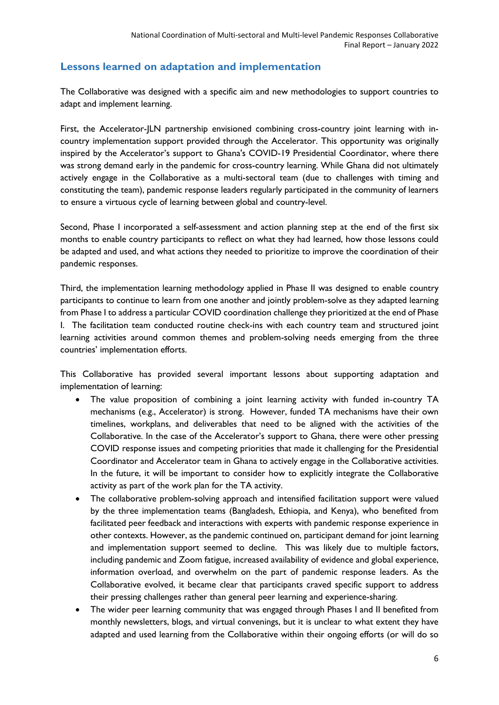#### **Lessons learned on adaptation and implementation**

The Collaborative was designed with a specific aim and new methodologies to support countries to adapt and implement learning.

First, the Accelerator-JLN partnership envisioned combining cross-country joint learning with incountry implementation support provided through the Accelerator. This opportunity was originally inspired by the Accelerator's support to Ghana's COVID-19 Presidential Coordinator, where there was strong demand early in the pandemic for cross-country learning. While Ghana did not ultimately actively engage in the Collaborative as a multi-sectoral team (due to challenges with timing and constituting the team), pandemic response leaders regularly participated in the community of learners to ensure a virtuous cycle of learning between global and country-level.

Second, Phase I incorporated a self-assessment and action planning step at the end of the first six months to enable country participants to reflect on what they had learned, how those lessons could be adapted and used, and what actions they needed to prioritize to improve the coordination of their pandemic responses.

Third, the implementation learning methodology applied in Phase II was designed to enable country participants to continue to learn from one another and jointly problem-solve as they adapted learning from Phase I to address a particular COVID coordination challenge they prioritized at the end of Phase I. The facilitation team conducted routine check-ins with each country team and structured joint learning activities around common themes and problem-solving needs emerging from the three countries' implementation efforts.

This Collaborative has provided several important lessons about supporting adaptation and implementation of learning:

- The value proposition of combining a joint learning activity with funded in-country TA mechanisms (e.g., Accelerator) is strong. However, funded TA mechanisms have their own timelines, workplans, and deliverables that need to be aligned with the activities of the Collaborative. In the case of the Accelerator's support to Ghana, there were other pressing COVID response issues and competing priorities that made it challenging for the Presidential Coordinator and Accelerator team in Ghana to actively engage in the Collaborative activities. In the future, it will be important to consider how to explicitly integrate the Collaborative activity as part of the work plan for the TA activity.
- The collaborative problem-solving approach and intensified facilitation support were valued by the three implementation teams (Bangladesh, Ethiopia, and Kenya), who benefited from facilitated peer feedback and interactions with experts with pandemic response experience in other contexts. However, as the pandemic continued on, participant demand for joint learning and implementation support seemed to decline. This was likely due to multiple factors, including pandemic and Zoom fatigue, increased availability of evidence and global experience, information overload, and overwhelm on the part of pandemic response leaders. As the Collaborative evolved, it became clear that participants craved specific support to address their pressing challenges rather than general peer learning and experience-sharing.
- The wider peer learning community that was engaged through Phases I and II benefited from monthly newsletters, blogs, and virtual convenings, but it is unclear to what extent they have adapted and used learning from the Collaborative within their ongoing efforts (or will do so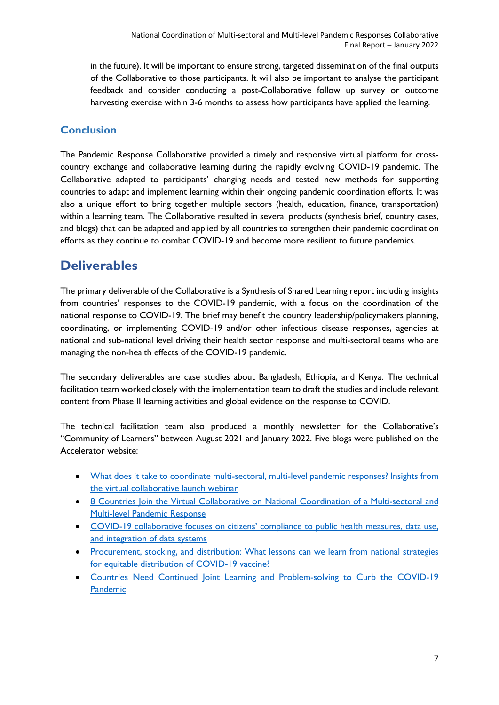in the future). It will be important to ensure strong, targeted dissemination of the final outputs of the Collaborative to those participants. It will also be important to analyse the participant feedback and consider conducting a post-Collaborative follow up survey or outcome harvesting exercise within 3-6 months to assess how participants have applied the learning.

### **Conclusion**

The Pandemic Response Collaborative provided a timely and responsive virtual platform for crosscountry exchange and collaborative learning during the rapidly evolving COVID-19 pandemic. The Collaborative adapted to participants' changing needs and tested new methods for supporting countries to adapt and implement learning within their ongoing pandemic coordination efforts. It was also a unique effort to bring together multiple sectors (health, education, finance, transportation) within a learning team. The Collaborative resulted in several products (synthesis brief, country cases, and blogs) that can be adapted and applied by all countries to strengthen their pandemic coordination efforts as they continue to combat COVID-19 and become more resilient to future pandemics.

## <span id="page-6-0"></span>**Deliverables**

The primary deliverable of the Collaborative is a Synthesis of Shared Learning report including insights from countries' responses to the COVID-19 pandemic, with a focus on the coordination of the national response to COVID-19. The brief may benefit the country leadership/policymakers planning, coordinating, or implementing COVID-19 and/or other infectious disease responses, agencies at national and sub-national level driving their health sector response and multi-sectoral teams who are managing the non-health effects of the COVID-19 pandemic.

The secondary deliverables are case studies about Bangladesh, Ethiopia, and Kenya. The technical facilitation team worked closely with the implementation team to draft the studies and include relevant content from Phase II learning activities and global evidence on the response to COVID.

The technical facilitation team also produced a monthly newsletter for the Collaborative's "Community of Learners" between August 2021 and January 2022. Five blogs were published on the Accelerator website:

- [What does it take to coordinate multi-sectoral, multi-level pandemic responses? Insights from](https://www.acceleratehss.org/2020/10/27/what-does-it-take-to-coordinate-multi-sectoral-multi-level-pandemic-responses/)  [the virtual collaborative launch webinar](https://www.acceleratehss.org/2020/10/27/what-does-it-take-to-coordinate-multi-sectoral-multi-level-pandemic-responses/)
- [8 Countries Join the Virtual Collaborative on National Coordination of a Multi-sectoral and](https://www.acceleratehss.org/2020/12/09/8-countries-join-the-virtual-collaborative-on-national-coordination-of-a-multi-sectoral-and-multi-level-pandemic-response/)  [Multi-level Pandemic Response](https://www.acceleratehss.org/2020/12/09/8-countries-join-the-virtual-collaborative-on-national-coordination-of-a-multi-sectoral-and-multi-level-pandemic-response/)
- [COVID-19 collaborative focuses on citizens' compliance to public health measures, data use,](https://www.acceleratehss.org/2021/01/25/covid-19-collaborative-focuses-on-citizens-compliance-to-public-health-measures-data-use-and-integration-of-data-systems/)  [and integration of data systems](https://www.acceleratehss.org/2021/01/25/covid-19-collaborative-focuses-on-citizens-compliance-to-public-health-measures-data-use-and-integration-of-data-systems/)
- [Procurement, stocking, and distribution: What lessons can we learn from national strategies](https://www.acceleratehss.org/2021/05/03/procurement-stocking-and-distribution-what-lessons-can-we-learn-from-national-strategies-for-equitable-distribution-of-covid-19-vaccine/)  [for equitable distribution of COVID-19 vaccine?](https://www.acceleratehss.org/2021/05/03/procurement-stocking-and-distribution-what-lessons-can-we-learn-from-national-strategies-for-equitable-distribution-of-covid-19-vaccine/)
- Countries Need Continued Joint Learning and Problem-solving to Curb the COVID-19 [Pandemic](https://www.acceleratehss.org/2021/05/20/countries-need-continued-joint-learning-and-problem-solving-to-curb-the-covid-19-pandemic/)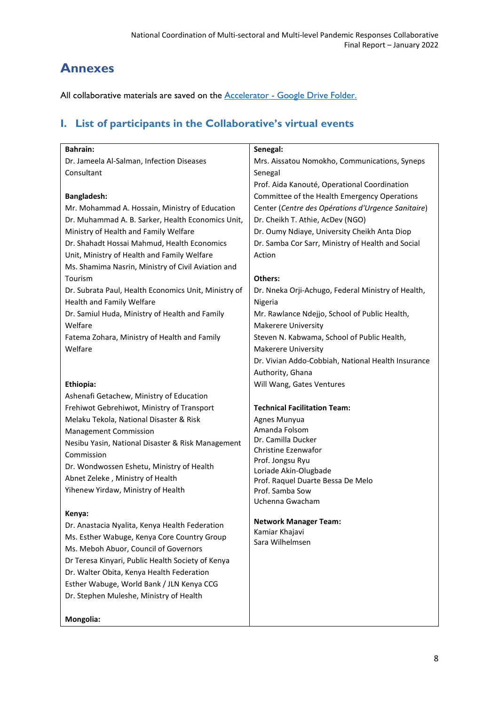## <span id="page-7-0"></span>**Annexes**

All collaborative materials are saved on the **Accelerator** - Google Drive Folder.

### <span id="page-7-1"></span>**I. List of participants in the Collaborative's virtual events**

| <b>Bahrain:</b>                                                                      | Senegal:                                           |
|--------------------------------------------------------------------------------------|----------------------------------------------------|
| Dr. Jameela Al-Salman, Infection Diseases                                            | Mrs. Aissatou Nomokho, Communications, Syneps      |
| Consultant                                                                           | Senegal                                            |
|                                                                                      | Prof. Aida Kanouté, Operational Coordination       |
| <b>Bangladesh:</b>                                                                   | Committee of the Health Emergency Operations       |
| Mr. Mohammad A. Hossain, Ministry of Education                                       | Center (Centre des Opérations d'Urgence Sanitaire) |
| Dr. Muhammad A. B. Sarker, Health Economics Unit,                                    | Dr. Cheikh T. Athie, AcDev (NGO)                   |
| Ministry of Health and Family Welfare                                                | Dr. Oumy Ndiaye, University Cheikh Anta Diop       |
| Dr. Shahadt Hossai Mahmud, Health Economics                                          | Dr. Samba Cor Sarr, Ministry of Health and Social  |
| Unit, Ministry of Health and Family Welfare                                          | Action                                             |
| Ms. Shamima Nasrin, Ministry of Civil Aviation and                                   |                                                    |
| Tourism                                                                              | Others:                                            |
| Dr. Subrata Paul, Health Economics Unit, Ministry of                                 | Dr. Nneka Orji-Achugo, Federal Ministry of Health, |
| Health and Family Welfare                                                            | Nigeria                                            |
| Dr. Samiul Huda, Ministry of Health and Family                                       | Mr. Rawlance Ndejjo, School of Public Health,      |
| Welfare                                                                              | <b>Makerere University</b>                         |
| Fatema Zohara, Ministry of Health and Family                                         | Steven N. Kabwama, School of Public Health,        |
| Welfare                                                                              | <b>Makerere University</b>                         |
|                                                                                      | Dr. Vivian Addo-Cobbiah, National Health Insurance |
|                                                                                      | Authority, Ghana                                   |
| Ethiopia:                                                                            | Will Wang, Gates Ventures                          |
| Ashenafi Getachew, Ministry of Education                                             |                                                    |
| Frehiwot Gebrehiwot, Ministry of Transport                                           | <b>Technical Facilitation Team:</b>                |
| Melaku Tekola, National Disaster & Risk                                              | Agnes Munyua                                       |
| <b>Management Commission</b>                                                         | Amanda Folsom                                      |
| Nesibu Yasin, National Disaster & Risk Management                                    | Dr. Camilla Ducker                                 |
| Commission                                                                           | <b>Christine Ezenwafor</b>                         |
| Dr. Wondwossen Eshetu, Ministry of Health                                            | Prof. Jongsu Ryu                                   |
| Abnet Zeleke, Ministry of Health                                                     | Loriade Akin-Olugbade                              |
| Yihenew Yirdaw, Ministry of Health                                                   | Prof. Raquel Duarte Bessa De Melo                  |
|                                                                                      | Prof. Samba Sow<br>Uchenna Gwacham                 |
| Kenya:                                                                               |                                                    |
| Dr. Anastacia Nyalita, Kenya Health Federation                                       | <b>Network Manager Team:</b>                       |
|                                                                                      | Kamiar Khajavi                                     |
| Ms. Esther Wabuge, Kenya Core Country Group<br>Ms. Meboh Abuor, Council of Governors | Sara Wilhelmsen                                    |
|                                                                                      |                                                    |
| Dr Teresa Kinyari, Public Health Society of Kenya                                    |                                                    |
| Dr. Walter Obita, Kenya Health Federation                                            |                                                    |
| Esther Wabuge, World Bank / JLN Kenya CCG                                            |                                                    |

Dr. Stephen Muleshe, Ministry of Health

#### **Mongolia:**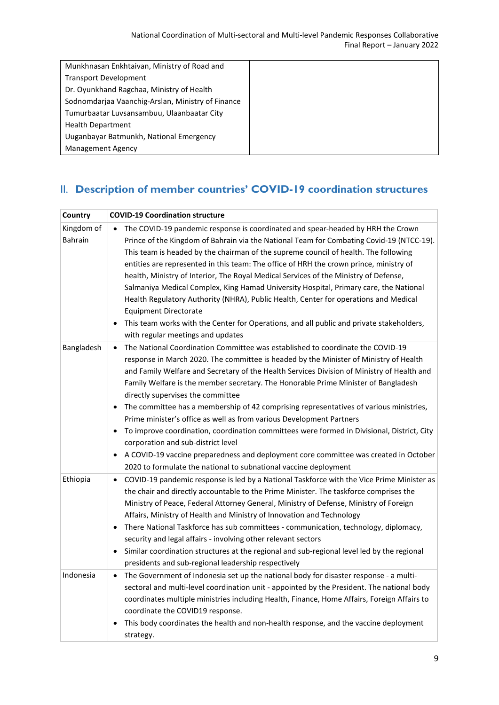| Munkhnasan Enkhtaivan, Ministry of Road and       |
|---------------------------------------------------|
| <b>Transport Development</b>                      |
| Dr. Oyunkhand Ragchaa, Ministry of Health         |
| Sodnomdarjaa Vaanchig-Arslan, Ministry of Finance |
| Tumurbaatar Luvsansambuu, Ulaanbaatar City        |
| <b>Health Department</b>                          |
| Uuganbayar Batmunkh, National Emergency           |
| <b>Management Agency</b>                          |

## <span id="page-8-0"></span>II. **Description of member countries' COVID-19 coordination structures**

| Country               | <b>COVID-19 Coordination structure</b>                                                                                                                                                                                                                                                                                                                                                                                                                                                                                                                                                                                                                                                                                                                                                                                                                                                       |
|-----------------------|----------------------------------------------------------------------------------------------------------------------------------------------------------------------------------------------------------------------------------------------------------------------------------------------------------------------------------------------------------------------------------------------------------------------------------------------------------------------------------------------------------------------------------------------------------------------------------------------------------------------------------------------------------------------------------------------------------------------------------------------------------------------------------------------------------------------------------------------------------------------------------------------|
| Kingdom of<br>Bahrain | The COVID-19 pandemic response is coordinated and spear-headed by HRH the Crown<br>Prince of the Kingdom of Bahrain via the National Team for Combating Covid-19 (NTCC-19).<br>This team is headed by the chairman of the supreme council of health. The following<br>entities are represented in this team: The office of HRH the crown prince, ministry of<br>health, Ministry of Interior, The Royal Medical Services of the Ministry of Defense,<br>Salmaniya Medical Complex, King Hamad University Hospital, Primary care, the National<br>Health Regulatory Authority (NHRA), Public Health, Center for operations and Medical<br><b>Equipment Directorate</b><br>This team works with the Center for Operations, and all public and private stakeholders,<br>$\bullet$<br>with regular meetings and updates                                                                          |
| Bangladesh            | The National Coordination Committee was established to coordinate the COVID-19<br>$\bullet$<br>response in March 2020. The committee is headed by the Minister of Ministry of Health<br>and Family Welfare and Secretary of the Health Services Division of Ministry of Health and<br>Family Welfare is the member secretary. The Honorable Prime Minister of Bangladesh<br>directly supervises the committee<br>The committee has a membership of 42 comprising representatives of various ministries,<br>Prime minister's office as well as from various Development Partners<br>To improve coordination, coordination committees were formed in Divisional, District, City<br>$\bullet$<br>corporation and sub-district level<br>A COVID-19 vaccine preparedness and deployment core committee was created in October<br>2020 to formulate the national to subnational vaccine deployment |
| Ethiopia              | COVID-19 pandemic response is led by a National Taskforce with the Vice Prime Minister as<br>$\bullet$<br>the chair and directly accountable to the Prime Minister. The taskforce comprises the<br>Ministry of Peace, Federal Attorney General, Ministry of Defense, Ministry of Foreign<br>Affairs, Ministry of Health and Ministry of Innovation and Technology<br>There National Taskforce has sub committees - communication, technology, diplomacy,<br>$\bullet$<br>security and legal affairs - involving other relevant sectors<br>Similar coordination structures at the regional and sub-regional level led by the regional<br>$\bullet$<br>presidents and sub-regional leadership respectively                                                                                                                                                                                     |
| Indonesia             | The Government of Indonesia set up the national body for disaster response - a multi-<br>$\bullet$<br>sectoral and multi-level coordination unit - appointed by the President. The national body<br>coordinates multiple ministries including Health, Finance, Home Affairs, Foreign Affairs to<br>coordinate the COVID19 response.<br>This body coordinates the health and non-health response, and the vaccine deployment<br>strategy.                                                                                                                                                                                                                                                                                                                                                                                                                                                     |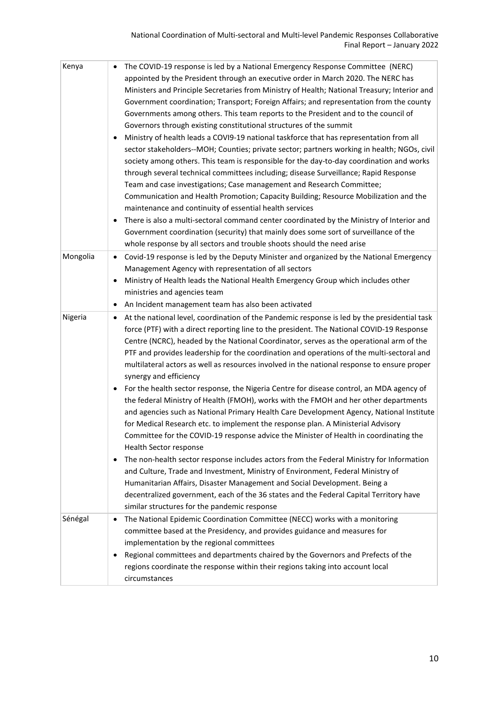| Kenya    | The COVID-19 response is led by a National Emergency Response Committee (NERC)<br>appointed by the President through an executive order in March 2020. The NERC has<br>Ministers and Principle Secretaries from Ministry of Health; National Treasury; Interior and<br>Government coordination; Transport; Foreign Affairs; and representation from the county<br>Governments among others. This team reports to the President and to the council of<br>Governors through existing constitutional structures of the summit<br>Ministry of health leads a COVI9-19 national taskforce that has representation from all<br>$\bullet$<br>sector stakeholders--MOH; Counties; private sector; partners working in health; NGOs, civil<br>society among others. This team is responsible for the day-to-day coordination and works<br>through several technical committees including; disease Surveillance; Rapid Response<br>Team and case investigations; Case management and Research Committee;<br>Communication and Health Promotion; Capacity Building; Resource Mobilization and the<br>maintenance and continuity of essential health services<br>There is also a multi-sectoral command center coordinated by the Ministry of Interior and                                                                                                                                                                                                 |
|----------|------------------------------------------------------------------------------------------------------------------------------------------------------------------------------------------------------------------------------------------------------------------------------------------------------------------------------------------------------------------------------------------------------------------------------------------------------------------------------------------------------------------------------------------------------------------------------------------------------------------------------------------------------------------------------------------------------------------------------------------------------------------------------------------------------------------------------------------------------------------------------------------------------------------------------------------------------------------------------------------------------------------------------------------------------------------------------------------------------------------------------------------------------------------------------------------------------------------------------------------------------------------------------------------------------------------------------------------------------------------------------------------------------------------------------------------------|
|          | Government coordination (security) that mainly does some sort of surveillance of the<br>whole response by all sectors and trouble shoots should the need arise                                                                                                                                                                                                                                                                                                                                                                                                                                                                                                                                                                                                                                                                                                                                                                                                                                                                                                                                                                                                                                                                                                                                                                                                                                                                                 |
| Mongolia | Covid-19 response is led by the Deputy Minister and organized by the National Emergency<br>$\bullet$<br>Management Agency with representation of all sectors<br>Ministry of Health leads the National Health Emergency Group which includes other<br>ministries and agencies team<br>An Incident management team has also been activated<br>$\bullet$                                                                                                                                                                                                                                                                                                                                                                                                                                                                                                                                                                                                                                                                                                                                                                                                                                                                                                                                                                                                                                                                                          |
| Nigeria  | At the national level, coordination of the Pandemic response is led by the presidential task<br>$\bullet$<br>force (PTF) with a direct reporting line to the president. The National COVID-19 Response<br>Centre (NCRC), headed by the National Coordinator, serves as the operational arm of the<br>PTF and provides leadership for the coordination and operations of the multi-sectoral and<br>multilateral actors as well as resources involved in the national response to ensure proper<br>synergy and efficiency<br>For the health sector response, the Nigeria Centre for disease control, an MDA agency of<br>$\bullet$<br>the federal Ministry of Health (FMOH), works with the FMOH and her other departments<br>and agencies such as National Primary Health Care Development Agency, National Institute<br>for Medical Research etc. to implement the response plan. A Ministerial Advisory<br>Committee for the COVID-19 response advice the Minister of Health in coordinating the<br>Health Sector response<br>The non-health sector response includes actors from the Federal Ministry for Information<br>$\bullet$<br>and Culture, Trade and Investment, Ministry of Environment, Federal Ministry of<br>Humanitarian Affairs, Disaster Management and Social Development. Being a<br>decentralized government, each of the 36 states and the Federal Capital Territory have<br>similar structures for the pandemic response |
| Sénégal  | The National Epidemic Coordination Committee (NECC) works with a monitoring<br>٠<br>committee based at the Presidency, and provides guidance and measures for<br>implementation by the regional committees<br>Regional committees and departments chaired by the Governors and Prefects of the<br>٠<br>regions coordinate the response within their regions taking into account local<br>circumstances                                                                                                                                                                                                                                                                                                                                                                                                                                                                                                                                                                                                                                                                                                                                                                                                                                                                                                                                                                                                                                         |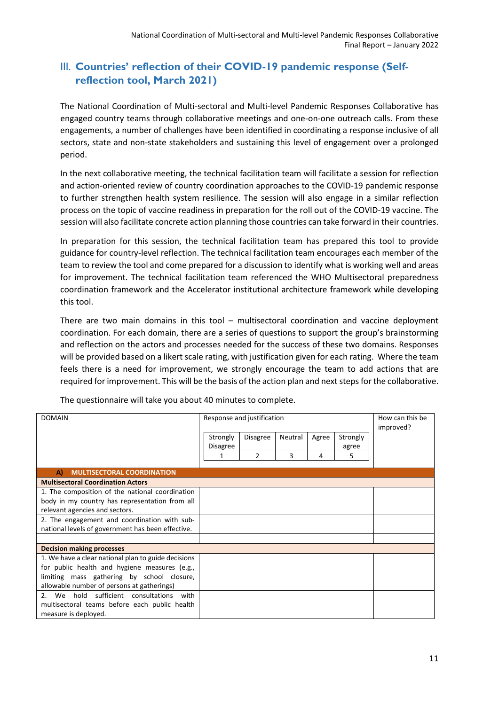### <span id="page-10-0"></span>III. Countries' reflection of their COVID-19 pandemic response (Self**reflection tool, March 2021)**

The National Coordination of Multi-sectoral and Multi-level Pandemic Responses Collaborative has engaged country teams through collaborative meetings and one-on-one outreach calls. From these engagements, a number of challenges have been identified in coordinating a response inclusive of all sectors, state and non-state stakeholders and sustaining this level of engagement over a prolonged period.

In the next collaborative meeting, the technical facilitation team will facilitate a session for reflection and action-oriented review of country coordination approaches to the COVID-19 pandemic response to further strengthen health system resilience. The session will also engage in a similar reflection process on the topic of vaccine readiness in preparation for the roll out of the COVID-19 vaccine. The session will also facilitate concrete action planning those countries can take forward in their countries.

In preparation for this session, the technical facilitation team has prepared this tool to provide guidance for country-level reflection. The technical facilitation team encourages each member of the team to review the tool and come prepared for a discussion to identify what is working well and areas for improvement. The technical facilitation team referenced the WHO Multisectoral preparedness coordination framework and the Accelerator institutional architecture framework while developing this tool.

There are two main domains in this tool – multisectoral coordination and vaccine deployment coordination. For each domain, there are a series of questions to support the group's brainstorming and reflection on the actors and processes needed for the success of these two domains. Responses will be provided based on a likert scale rating, with justification given for each rating. Where the team feels there is a need for improvement, we strongly encourage the team to add actions that are required for improvement. This will be the basis of the action plan and next steps for the collaborative.

| <b>DOMAIN</b>                                              | Response and justification |                 |         |       | How can this be<br>improved? |  |
|------------------------------------------------------------|----------------------------|-----------------|---------|-------|------------------------------|--|
|                                                            | Strongly                   | <b>Disagree</b> | Neutral | Agree | Strongly                     |  |
|                                                            | <b>Disagree</b>            |                 |         |       | agree                        |  |
|                                                            |                            | $\mathfrak{p}$  | 3       | 4     | 5.                           |  |
| <b>MULTISECTORAL COORDINATION</b><br>A)                    |                            |                 |         |       |                              |  |
| <b>Multisectoral Coordination Actors</b>                   |                            |                 |         |       |                              |  |
| 1. The composition of the national coordination            |                            |                 |         |       |                              |  |
| body in my country has representation from all             |                            |                 |         |       |                              |  |
| relevant agencies and sectors.                             |                            |                 |         |       |                              |  |
| 2. The engagement and coordination with sub-               |                            |                 |         |       |                              |  |
| national levels of government has been effective.          |                            |                 |         |       |                              |  |
|                                                            |                            |                 |         |       |                              |  |
| <b>Decision making processes</b>                           |                            |                 |         |       |                              |  |
| 1. We have a clear national plan to guide decisions        |                            |                 |         |       |                              |  |
| for public health and hygiene measures (e.g.,              |                            |                 |         |       |                              |  |
| limiting mass gathering by school closure,                 |                            |                 |         |       |                              |  |
| allowable number of persons at gatherings)                 |                            |                 |         |       |                              |  |
| We hold sufficient consultations<br>2 <sub>1</sub><br>with |                            |                 |         |       |                              |  |
| multisectoral teams before each public health              |                            |                 |         |       |                              |  |
| measure is deployed.                                       |                            |                 |         |       |                              |  |

The questionnaire will take you about 40 minutes to complete.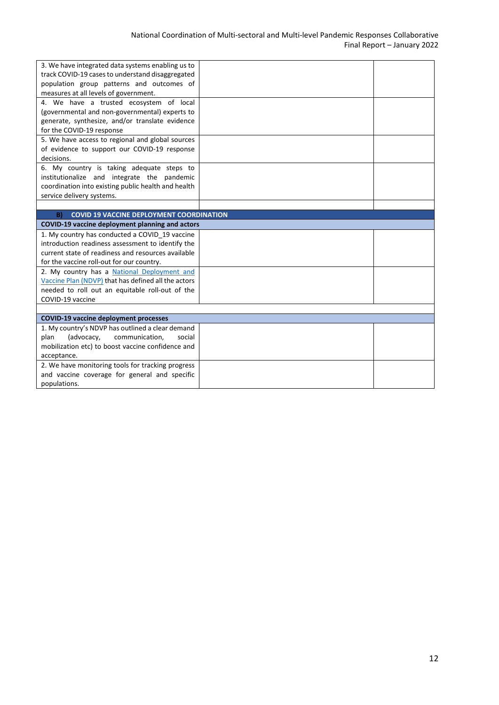| 3. We have integrated data systems enabling us to     |  |
|-------------------------------------------------------|--|
| track COVID-19 cases to understand disaggregated      |  |
| population group patterns and outcomes of             |  |
| measures at all levels of government.                 |  |
| 4. We have a trusted ecosystem of local               |  |
| (governmental and non-governmental) experts to        |  |
| generate, synthesize, and/or translate evidence       |  |
| for the COVID-19 response                             |  |
| 5. We have access to regional and global sources      |  |
| of evidence to support our COVID-19 response          |  |
| decisions.                                            |  |
| 6. My country is taking adequate steps to             |  |
| institutionalize and integrate the pandemic           |  |
| coordination into existing public health and health   |  |
| service delivery systems.                             |  |
|                                                       |  |
| <b>COVID 19 VACCINE DEPLOYMENT COORDINATION</b><br>B) |  |
| COVID-19 vaccine deployment planning and actors       |  |
| 1. My country has conducted a COVID 19 vaccine        |  |
| introduction readiness assessment to identify the     |  |
| current state of readiness and resources available    |  |
| for the vaccine roll-out for our country.             |  |
| 2. My country has a National Deployment and           |  |
| Vaccine Plan (NDVP) that has defined all the actors   |  |
| needed to roll out an equitable roll-out of the       |  |
| COVID-19 vaccine                                      |  |
|                                                       |  |
| <b>COVID-19 vaccine deployment processes</b>          |  |
| 1. My country's NDVP has outlined a clear demand      |  |
| (advocacy,<br>communication,<br>plan<br>social        |  |
| mobilization etc) to boost vaccine confidence and     |  |
|                                                       |  |
| acceptance.                                           |  |
| 2. We have monitoring tools for tracking progress     |  |
| and vaccine coverage for general and specific         |  |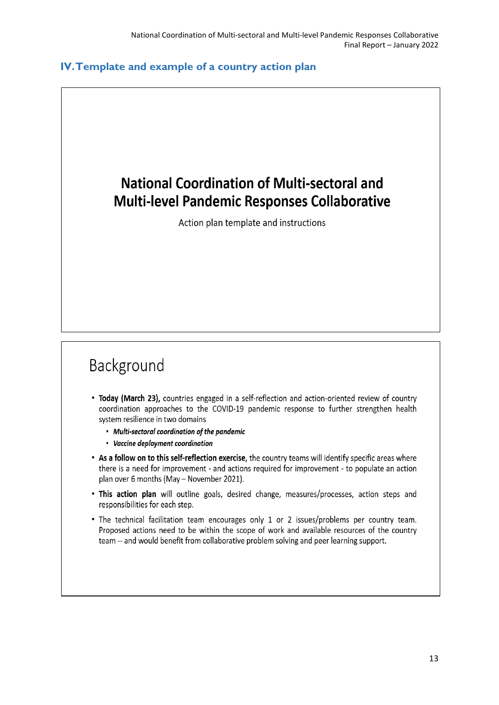#### <span id="page-12-0"></span>**IV.Template and example of a country action plan**

## **National Coordination of Multi-sectoral and Multi-level Pandemic Responses Collaborative**

Action plan template and instructions

# Background

- Today (March 23), countries engaged in a self-reflection and action-oriented review of country coordination approaches to the COVID-19 pandemic response to further strengthen health system resilience in two domains
	- Multi-sectoral coordination of the pandemic
	- Vaccine deployment coordination
- . As a follow on to this self-reflection exercise, the country teams will identify specific areas where there is a need for improvement - and actions required for improvement - to populate an action plan over 6 months (May - November 2021).
- . This action plan will outline goals, desired change, measures/processes, action steps and responsibilities for each step.
- The technical facilitation team encourages only 1 or 2 issues/problems per country team. Proposed actions need to be within the scope of work and available resources of the country team -- and would benefit from collaborative problem solving and peer learning support.